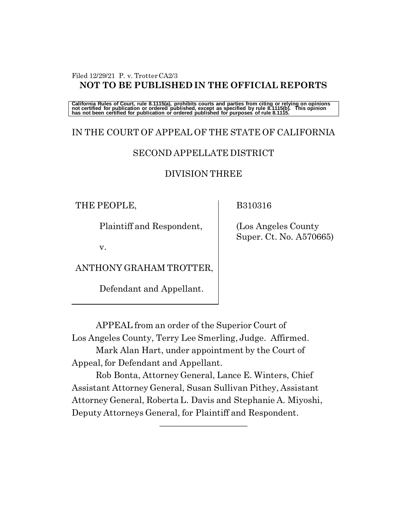#### Filed 12/29/21 P. v. Trotter CA2/3 **NOT TO BE PUBLISHED IN THE OFFICIAL REPORTS**

California Rules of Court, rule 8.1115(a), prohibits courts and parties from citing or relying on opinions<br>not certified for publication or ordered published, except as specified by rule 8.1115(b). This opinion<br>has not bee

# IN THE COURT OF APPEAL OF THE STATE OF CALIFORNIA

## SECOND APPELLATE DISTRICT

### DIVISION THREE

THE PEOPLE,

Plaintiff and Respondent,

v.

ANTHONY GRAHAM TROTTER,

Defendant and Appellant.

B310316

 (Los Angeles County Super. Ct. No. A570665)

APPEAL from an order of the Superior Court of Los Angeles County, Terry Lee Smerling, Judge. Affirmed.

Mark Alan Hart, under appointment by the Court of Appeal, for Defendant and Appellant.

Rob Bonta, Attorney General, Lance E. Winters, Chief Assistant Attorney General, Susan Sullivan Pithey, Assistant Attorney General, Roberta L. Davis and Stephanie A. Miyoshi, Deputy Attorneys General, for Plaintiff and Respondent.

——————————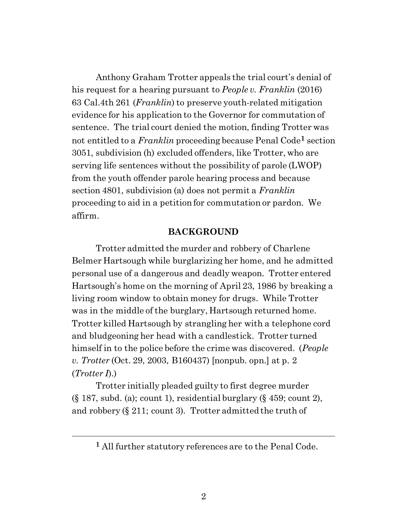Anthony Graham Trotter appeals the trial court's denial of his request for a hearing pursuant to *People v. Franklin* (2016) 63 Cal.4th 261 (*Franklin*) to preserve youth-related mitigation evidence for his application to the Governor for commutation of sentence. The trial court denied the motion, finding Trotter was not entitled to a *Franklin* proceeding because Penal Code**<sup>1</sup>** section 3051, subdivision (h) excluded offenders, like Trotter, who are serving life sentences without the possibility of parole (LWOP) from the youth offender parole hearing process and because section 4801, subdivision (a) does not permit a *Franklin*  proceeding to aid in a petition for commutation or pardon. We affirm.

#### **BACKGROUND**

Trotter admitted the murder and robbery of Charlene Belmer Hartsough while burglarizing her home, and he admitted personal use of a dangerous and deadly weapon. Trotter entered Hartsough's home on the morning of April 23, 1986 by breaking a living room window to obtain money for drugs. While Trotter was in the middle of the burglary, Hartsough returned home. Trotter killed Hartsough by strangling her with a telephone cord and bludgeoning her head with a candlestick. Trotter turned himself in to the police before the crime was discovered. (*People v. Trotter* (Oct. 29, 2003, B160437) [nonpub. opn.] at p. 2 (*Trotter I*).)

Trotter initially pleaded guilty to first degree murder  $(\S 187, \text{subd. (a)}; \text{count 1}), \text{residental burglary } (\S 459; \text{count 2}),$ and robbery (§ 211; count 3). Trotter admitted the truth of

**<sup>1</sup>** All further statutory references are to the Penal Code.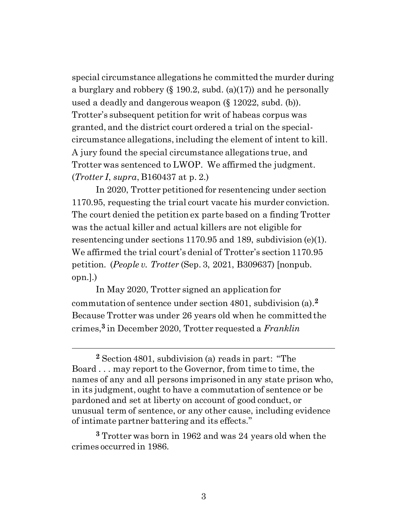special circumstance allegations he committed the murder during a burglary and robbery  $(\S 190.2, \text{subd.} (a)(17))$  and he personally used a deadly and dangerous weapon (§ 12022, subd. (b)). Trotter's subsequent petition for writ of habeas corpus was granted, and the district court ordered a trial on the specialcircumstance allegations, including the element of intent to kill. A jury found the special circumstance allegations true, and Trotter was sentenced to LWOP. We affirmed the judgment. (*Trotter I*, *supra*, B160437 at p. 2.)

In 2020, Trotter petitioned for resentencing under section 1170.95, requesting the trial court vacate his murder conviction. The court denied the petition ex parte based on a finding Trotter was the actual killer and actual killers are not eligible for resentencing under sections 1170.95 and 189, subdivision (e)(1). We affirmed the trial court's denial of Trotter's section 1170.95 petition. (*People v. Trotter* (Sep. 3, 2021, B309637) [nonpub. opn.].)

In May 2020, Trotter signed an application for commutation of sentence under section 4801, subdivision (a). **2** Because Trotter was under 26 years old when he committed the crimes, **<sup>3</sup>** in December 2020, Trotter requested a *Franklin*

**<sup>2</sup>** Section 4801, subdivision (a) reads in part: "The Board . . . may report to the Governor, from time to time, the names of any and all persons imprisoned in any state prison who, in its judgment, ought to have a commutation of sentence or be pardoned and set at liberty on account of good conduct, or unusual term of sentence, or any other cause, including evidence of intimate partner battering and its effects."

**<sup>3</sup>** Trotter was born in 1962 and was 24 years old when the crimes occurred in 1986.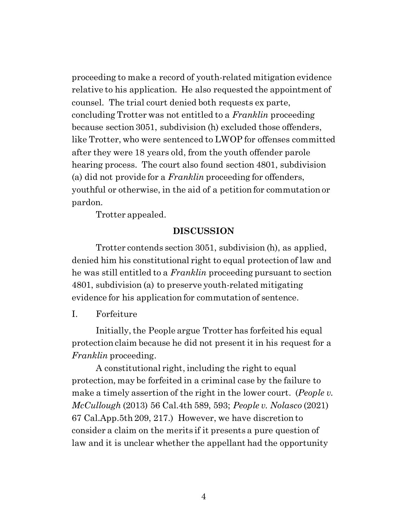proceeding to make a record of youth-related mitigation evidence relative to his application. He also requested the appointment of counsel. The trial court denied both requests ex parte, concluding Trotter was not entitled to a *Franklin* proceeding because section 3051, subdivision (h) excluded those offenders, like Trotter, who were sentenced to LWOP for offenses committed after they were 18 years old, from the youth offender parole hearing process. The court also found section 4801, subdivision (a) did not provide for a *Franklin* proceeding for offenders, youthful or otherwise, in the aid of a petition for commutation or pardon.

Trotter appealed.

#### **DISCUSSION**

Trotter contends section 3051, subdivision (h), as applied, denied him his constitutional right to equal protection of law and he was still entitled to a *Franklin* proceeding pursuant to section 4801, subdivision (a) to preserve youth-related mitigating evidence for his application for commutation of sentence.

#### I. Forfeiture

Initially, the People argue Trotter has forfeited his equal protection claim because he did not present it in his request for a *Franklin* proceeding.

A constitutional right, including the right to equal protection, may be forfeited in a criminal case by the failure to make a timely assertion of the right in the lower court. (*People v. McCullough* (2013) 56 Cal.4th 589, 593; *People v. Nolasco* (2021) 67 Cal.App.5th 209, 217.) However, we have discretion to consider a claim on the merits if it presents a pure question of law and it is unclear whether the appellant had the opportunity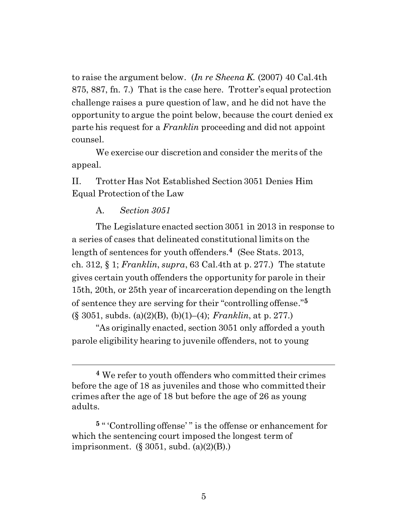to raise the argument below. (*In re Sheena K.* (2007) 40 Cal.4th 875, 887, fn. 7.) That is the case here. Trotter's equal protection challenge raises a pure question of law, and he did not have the opportunity to argue the point below, because the court denied ex parte his request for a *Franklin* proceeding and did not appoint counsel.

We exercise our discretion and consider the merits of the appeal.

II. Trotter Has Not Established Section 3051 Denies Him Equal Protection of the Law

#### A. *Section 3051*

The Legislature enacted section 3051 in 2013 in response to a series of cases that delineated constitutional limits on the length of sentences for youth offenders.**<sup>4</sup>** (See Stats. 2013, ch. 312, § 1; *Franklin*, *supra*, 63 Cal.4th at p. 277.) The statute gives certain youth offenders the opportunity for parole in their 15th, 20th, or 25th year of incarceration depending on the length of sentence they are serving for their "controlling offense." **5** (§ 3051, subds. (a)(2)(B), (b)(1)–(4); *Franklin*, at p. 277.)

"As originally enacted, section 3051 only afforded a youth parole eligibility hearing to juvenile offenders, not to young

**<sup>5</sup>** " 'Controlling offense' " is the offense or enhancement for which the sentencing court imposed the longest term of imprisonment.  $(\S 3051, \text{subd. (a)}(2)(B))$ .

**<sup>4</sup>** We refer to youth offenders who committed their crimes before the age of 18 as juveniles and those who committed their crimes after the age of 18 but before the age of 26 as young adults.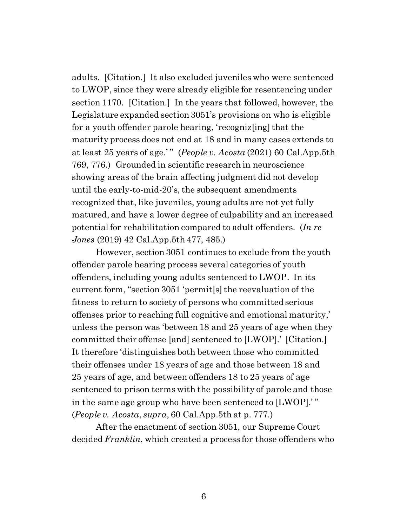adults. [Citation.] It also excluded juveniles who were sentenced to LWOP, since they were already eligible for resentencing under section 1170. [Citation.] In the years that followed, however, the Legislature expanded section 3051's provisions on who is eligible for a youth offender parole hearing, 'recogniz[ing] that the maturity process does not end at 18 and in many cases extends to at least 25 years of age.' " (*People v. Acosta* (2021) 60 Cal.App.5th 769, 776.) Grounded in scientific research in neuroscience showing areas of the brain affecting judgment did not develop until the early-to-mid-20's, the subsequent amendments recognized that, like juveniles, young adults are not yet fully matured, and have a lower degree of culpability and an increased potential for rehabilitation compared to adult offenders. (*In re Jones* (2019) 42 Cal.App.5th 477, 485.)

However, section 3051 continues to exclude from the youth offender parole hearing process several categories of youth offenders, including young adults sentenced to LWOP. In its current form, "section 3051 'permit[s] the reevaluation of the fitness to return to society of persons who committed serious offenses prior to reaching full cognitive and emotional maturity,' unless the person was 'between 18 and 25 years of age when they committed their offense [and] sentenced to [LWOP].' [Citation.] It therefore 'distinguishes both between those who committed their offenses under 18 years of age and those between 18 and 25 years of age, and between offenders 18 to 25 years of age sentenced to prison terms with the possibility of parole and those in the same age group who have been sentenced to [LWOP].' " (*People v. Acosta*, *supra*, 60 Cal.App.5th at p. 777.)

After the enactment of section 3051, our Supreme Court decided *Franklin*, which created a process for those offenders who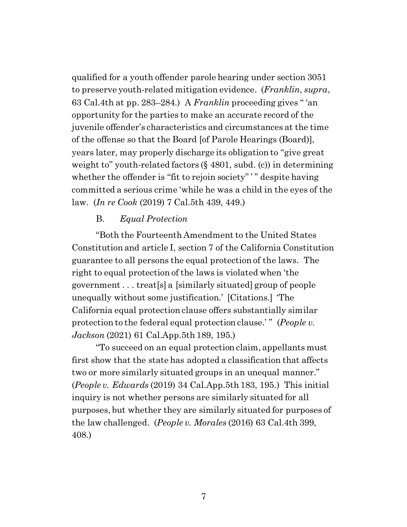qualified for a youth offender parole hearing under section 3051 to preserve youth-related mitigation evidence. (*Franklin*, *supra*, 63 Cal.4th at pp. 283–284.) A *Franklin* proceeding gives " 'an opportunity for the parties to make an accurate record of the juvenile offender's characteristics and circumstances at the time of the offense so that the Board [of Parole Hearings (Board)], years later, may properly discharge its obligation to "give great weight to" youth-related factors (§ 4801, subd. (c)) in determining whether the offender is "fit to rejoin society"' " despite having committed a serious crime 'while he was a child in the eyes of the law. (*In re Cook* (2019) 7 Cal.5th 439, 449.)

#### B. *Equal Protection*

"Both the Fourteenth Amendment to the United States Constitution and article I, section 7 of the California Constitution guarantee to all persons the equal protection of the laws. The right to equal protection of the laws is violated when 'the government . . . treat[s] a [similarly situated] group of people unequally without some justification.' [Citations.] 'The California equal protection clause offers substantially similar protection to the federal equal protection clause.'" (*People v. Jackson* (2021) 61 Cal.App.5th 189, 195.)

"To succeed on an equal protection claim, appellants must first show that the state has adopted a classification that affects two or more similarly situated groups in an unequal manner." (*People v. Edwards* (2019) 34 Cal.App.5th 183, 195.) This initial inquiry is not whether persons are similarly situated for all purposes, but whether they are similarly situated for purposes of the law challenged. (*People v. Morales* (2016) 63 Cal.4th 399, 408.)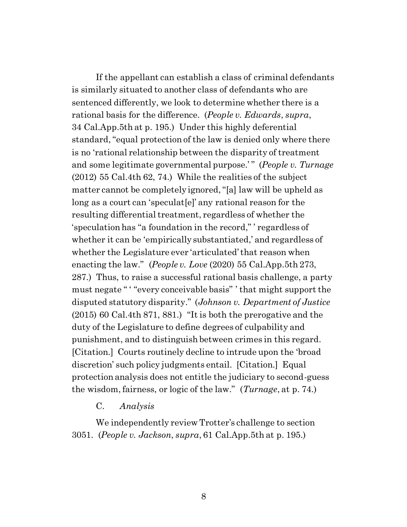If the appellant can establish a class of criminal defendants is similarly situated to another class of defendants who are sentenced differently, we look to determine whether there is a rational basis for the difference. (*People v. Edwards*, *supra*, 34 Cal.App.5th at p. 195.) Under this highly deferential standard, "equal protection of the law is denied only where there is no 'rational relationship between the disparity of treatment and some legitimate governmental purpose.'" (*People v. Turnage* (2012) 55 Cal.4th 62, 74.) While the realities of the subject matter cannot be completely ignored, "[a] law will be upheld as long as a court can 'speculat[e]' any rational reason for the resulting differential treatment, regardless of whether the 'speculation has "a foundation in the record," ' regardless of whether it can be 'empirically substantiated,' and regardless of whether the Legislature ever 'articulated' that reason when enacting the law." (*People v. Love* (2020) 55 Cal.App.5th 273, 287.) Thus, to raise a successful rational basis challenge, a party must negate "" "every conceivable basis" ' that might support the disputed statutory disparity." (*Johnson v. Department of Justice* (2015) 60 Cal.4th 871, 881.) "It is both the prerogative and the duty of the Legislature to define degrees of culpability and punishment, and to distinguish between crimes in this regard. [Citation.] Courts routinely decline to intrude upon the 'broad discretion' such policy judgments entail. [Citation.] Equal protection analysis does not entitle the judiciary to second-guess the wisdom, fairness, or logic of the law." (*Turnage*, at p. 74.)

#### C. *Analysis*

We independently review Trotter's challenge to section 3051. (*People v. Jackson*, *supra*, 61 Cal.App.5th at p. 195.)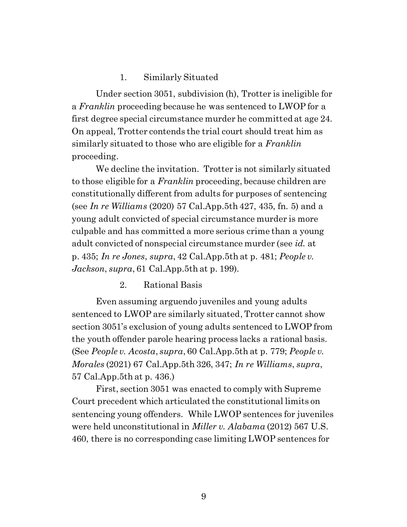#### 1. Similarly Situated

Under section 3051, subdivision (h), Trotter is ineligible for a *Franklin* proceeding because he was sentenced to LWOP for a first degree special circumstance murder he committed at age 24. On appeal, Trotter contends the trial court should treat him as similarly situated to those who are eligible for a *Franklin*  proceeding.

We decline the invitation. Trotter is not similarly situated to those eligible for a *Franklin* proceeding, because children are constitutionally different from adults for purposes of sentencing (see *In re Williams* (2020) 57 Cal.App.5th 427, 435, fn. 5) and a young adult convicted of special circumstance murder is more culpable and has committed a more serious crime than a young adult convicted of nonspecial circumstance murder (see *id.* at p. 435; *In re Jones*, *supra*, 42 Cal.App.5th at p. 481; *People v. Jackson*, *supra*, 61 Cal.App.5th at p. 199).

#### 2. Rational Basis

Even assuming arguendo juveniles and young adults sentenced to LWOP are similarly situated, Trotter cannot show section 3051's exclusion of young adults sentenced to LWOP from the youth offender parole hearing process lacks a rational basis. (See *People v. Acosta*, *supra*, 60 Cal.App.5th at p. 779; *People v. Morales* (2021) 67 Cal.App.5th 326, 347; *In re Williams*, *supra*, 57 Cal.App.5th at p. 436.)

First, section 3051 was enacted to comply with Supreme Court precedent which articulated the constitutional limits on sentencing young offenders. While LWOP sentences for juveniles were held unconstitutional in *Miller v. Alabama* (2012) 567 U.S. 460, there is no corresponding case limiting LWOP sentences for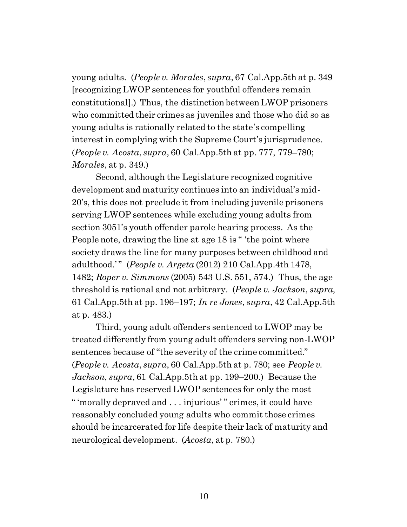young adults. (*People v. Morales*, *supra*, 67 Cal.App.5th at p. 349 [recognizing LWOP sentences for youthful offenders remain constitutional].) Thus, the distinction between LWOP prisoners who committed their crimes as juveniles and those who did so as young adults is rationally related to the state's compelling interest in complying with the Supreme Court's jurisprudence. (*People v. Acosta*, *supra*, 60 Cal.App.5th at pp. 777, 779–780; *Morales*, at p. 349.)

Second, although the Legislature recognized cognitive development and maturity continues into an individual's mid-20's, this does not preclude it from including juvenile prisoners serving LWOP sentences while excluding young adults from section 3051's youth offender parole hearing process. As the People note, drawing the line at age 18 is " 'the point where society draws the line for many purposes between childhood and adulthood.' " (*People v. Argeta* (2012) 210 Cal.App.4th 1478, 1482; *Roper v. Simmons* (2005) 543 U.S. 551, 574.) Thus, the age threshold is rational and not arbitrary. (*People v. Jackson*, *supra*, 61 Cal.App.5th at pp. 196–197; *In re Jones*, *supra*, 42 Cal.App.5th at p. 483.)

Third, young adult offenders sentenced to LWOP may be treated differently from young adult offenders serving non-LWOP sentences because of "the severity of the crime committed." (*People v. Acosta*, *supra*, 60 Cal.App.5th at p. 780; see *People v. Jackson*, *supra*, 61 Cal.App.5th at pp. 199–200.) Because the Legislature has reserved LWOP sentences for only the most " 'morally depraved and . . . injurious' " crimes, it could have reasonably concluded young adults who commit those crimes should be incarcerated for life despite their lack of maturity and neurological development. (*Acosta*, at p. 780.)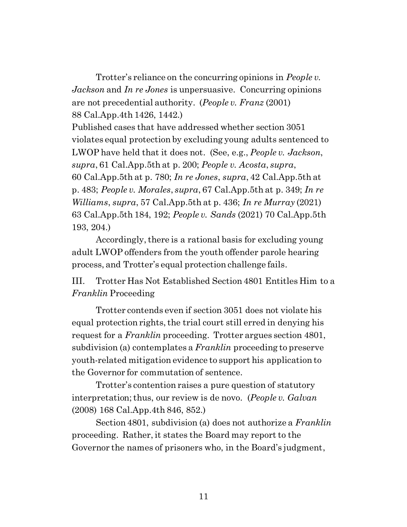Trotter's reliance on the concurring opinions in *People v. Jackson* and *In re Jones* is unpersuasive. Concurring opinions are not precedential authority. (*People v. Franz* (2001) 88 Cal.App.4th 1426, 1442.)

Published cases that have addressed whether section 3051 violates equal protection by excluding young adults sentenced to LWOP have held that it does not. (See, e.g., *People v. Jackson*, *supra*, 61 Cal.App.5th at p. 200; *People v. Acosta*, *supra*, 60 Cal.App.5th at p. 780; *In re Jones*, *supra*, 42 Cal.App.5th at p. 483; *People v. Morales*, *supra*, 67 Cal.App.5th at p. 349; *In re Williams*, *supra*, 57 Cal.App.5th at p. 436; *In re Murray* (2021) 63 Cal.App.5th 184, 192; *People v. Sands* (2021) 70 Cal.App.5th 193, 204.)

Accordingly, there is a rational basis for excluding young adult LWOP offenders from the youth offender parole hearing process, and Trotter's equal protection challenge fails.

III. Trotter Has Not Established Section 4801 Entitles Him to a *Franklin* Proceeding

Trotter contends even if section 3051 does not violate his equal protection rights, the trial court still erred in denying his request for a *Franklin* proceeding. Trotter argues section 4801, subdivision (a) contemplates a *Franklin* proceeding to preserve youth-related mitigation evidence to support his application to the Governor for commutation of sentence.

Trotter's contention raises a pure question of statutory interpretation;thus, our review is de novo. (*People v. Galvan* (2008) 168 Cal.App.4th 846, 852.)

Section 4801, subdivision (a) does not authorize a *Franklin*  proceeding. Rather, it states the Board may report to the Governor the names of prisoners who, in the Board's judgment,